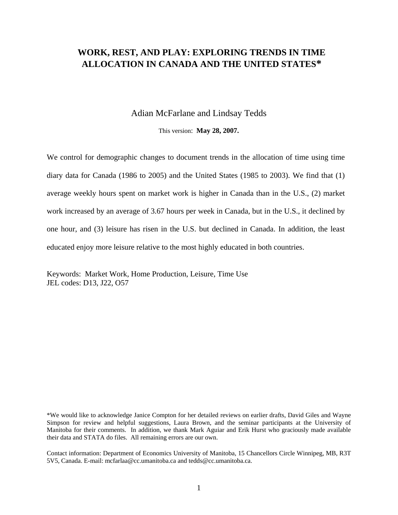# **WORK, REST, AND PLAY: EXPLORING TRENDS IN TIME ALLOCATION IN CANADA AND THE UNITED STATES\***

# Adian McFarlane and Lindsay Tedds

This version: **May 28, 2007.**

We control for demographic changes to document trends in the allocation of time using time diary data for Canada (1986 to 2005) and the United States (1985 to 2003). We find that (1) average weekly hours spent on market work is higher in Canada than in the U.S., (2) market work increased by an average of 3.67 hours per week in Canada, but in the U.S., it declined by one hour, and (3) leisure has risen in the U.S. but declined in Canada. In addition, the least educated enjoy more leisure relative to the most highly educated in both countries.

Keywords: Market Work, Home Production, Leisure, Time Use JEL codes: D13, J22, O57

\*We would like to acknowledge Janice Compton for her detailed reviews on earlier drafts, David Giles and Wayne Simpson for review and helpful suggestions, Laura Brown, and the seminar participants at the University of Manitoba for their comments. In addition, we thank Mark Aguiar and Erik Hurst who graciously made available their data and STATA do files. All remaining errors are our own.

Contact information: Department of Economics University of Manitoba, 15 Chancellors Circle Winnipeg, MB, R3T 5V5, Canada. E-mail: mcfarlaa@cc.umanitoba.ca and tedds@cc.umanitoba.ca.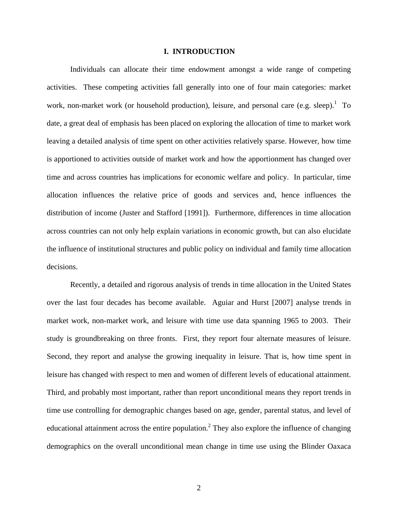## **I. INTRODUCTION**

Individuals can allocate their time endowment amongst a wide range of competing activities. These competing activities fall generally into one of four main categories: market work, non-market work (or household production), leisure, and personal care (e.g. sleep).<sup>1</sup> To date, a great deal of emphasis has been placed on exploring the allocation of time to market work leaving a detailed analysis of time spent on other activities relatively sparse. However, how time is apportioned to activities outside of market work and how the apportionment has changed over time and across countries has implications for economic welfare and policy. In particular, time allocation influences the relative price of goods and services and, hence influences the distribution of income (Juster and Stafford [1991]). Furthermore, differences in time allocation across countries can not only help explain variations in economic growth, but can also elucidate the influence of institutional structures and public policy on individual and family time allocation decisions.

Recently, a detailed and rigorous analysis of trends in time allocation in the United States over the last four decades has become available. Aguiar and Hurst [2007] analyse trends in market work, non-market work, and leisure with time use data spanning 1965 to 2003. Their study is groundbreaking on three fronts. First, they report four alternate measures of leisure. Second, they report and analyse the growing inequality in leisure. That is, how time spent in leisure has changed with respect to men and women of different levels of educational attainment. Third, and probably most important, rather than report unconditional means they report trends in time use controlling for demographic changes based on age, gender, parental status, and level of educational attainment across the entire population.<sup>2</sup> They also explore the influence of changing demographics on the overall unconditional mean change in time use using the Blinder Oaxaca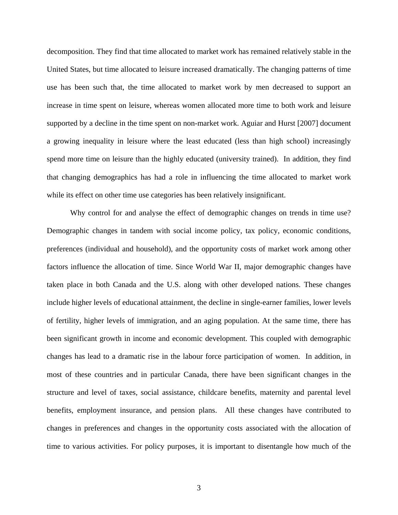decomposition. They find that time allocated to market work has remained relatively stable in the United States, but time allocated to leisure increased dramatically. The changing patterns of time use has been such that, the time allocated to market work by men decreased to support an increase in time spent on leisure, whereas women allocated more time to both work and leisure supported by a decline in the time spent on non-market work. Aguiar and Hurst [2007] document a growing inequality in leisure where the least educated (less than high school) increasingly spend more time on leisure than the highly educated (university trained). In addition, they find that changing demographics has had a role in influencing the time allocated to market work while its effect on other time use categories has been relatively insignificant.

Why control for and analyse the effect of demographic changes on trends in time use? Demographic changes in tandem with social income policy, tax policy, economic conditions, preferences (individual and household), and the opportunity costs of market work among other factors influence the allocation of time. Since World War II, major demographic changes have taken place in both Canada and the U.S. along with other developed nations. These changes include higher levels of educational attainment, the decline in single-earner families, lower levels of fertility, higher levels of immigration, and an aging population. At the same time, there has been significant growth in income and economic development. This coupled with demographic changes has lead to a dramatic rise in the labour force participation of women. In addition, in most of these countries and in particular Canada, there have been significant changes in the structure and level of taxes, social assistance, childcare benefits, maternity and parental level benefits, employment insurance, and pension plans. All these changes have contributed to changes in preferences and changes in the opportunity costs associated with the allocation of time to various activities. For policy purposes, it is important to disentangle how much of the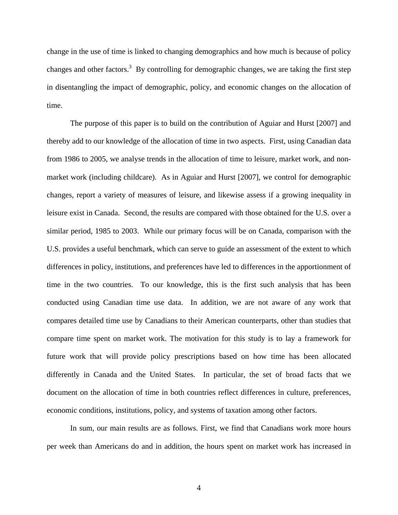change in the use of time is linked to changing demographics and how much is because of policy changes and other factors.<sup>3</sup> By controlling for demographic changes, we are taking the first step in disentangling the impact of demographic, policy, and economic changes on the allocation of time.

The purpose of this paper is to build on the contribution of Aguiar and Hurst [2007] and thereby add to our knowledge of the allocation of time in two aspects. First, using Canadian data from 1986 to 2005, we analyse trends in the allocation of time to leisure, market work, and nonmarket work (including childcare). As in Aguiar and Hurst [2007], we control for demographic changes, report a variety of measures of leisure, and likewise assess if a growing inequality in leisure exist in Canada. Second, the results are compared with those obtained for the U.S. over a similar period, 1985 to 2003. While our primary focus will be on Canada, comparison with the U.S. provides a useful benchmark, which can serve to guide an assessment of the extent to which differences in policy, institutions, and preferences have led to differences in the apportionment of time in the two countries. To our knowledge, this is the first such analysis that has been conducted using Canadian time use data. In addition, we are not aware of any work that compares detailed time use by Canadians to their American counterparts, other than studies that compare time spent on market work. The motivation for this study is to lay a framework for future work that will provide policy prescriptions based on how time has been allocated differently in Canada and the United States. In particular, the set of broad facts that we document on the allocation of time in both countries reflect differences in culture, preferences, economic conditions, institutions, policy, and systems of taxation among other factors.

In sum, our main results are as follows. First, we find that Canadians work more hours per week than Americans do and in addition, the hours spent on market work has increased in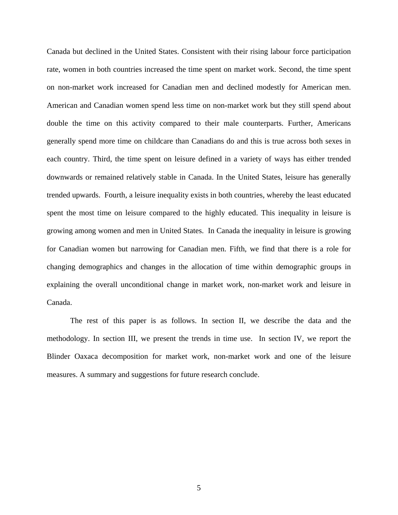Canada but declined in the United States. Consistent with their rising labour force participation rate, women in both countries increased the time spent on market work. Second, the time spent on non-market work increased for Canadian men and declined modestly for American men. American and Canadian women spend less time on non-market work but they still spend about double the time on this activity compared to their male counterparts. Further, Americans generally spend more time on childcare than Canadians do and this is true across both sexes in each country. Third, the time spent on leisure defined in a variety of ways has either trended downwards or remained relatively stable in Canada. In the United States, leisure has generally trended upwards. Fourth, a leisure inequality exists in both countries, whereby the least educated spent the most time on leisure compared to the highly educated. This inequality in leisure is growing among women and men in United States. In Canada the inequality in leisure is growing for Canadian women but narrowing for Canadian men. Fifth, we find that there is a role for changing demographics and changes in the allocation of time within demographic groups in explaining the overall unconditional change in market work, non-market work and leisure in Canada.

The rest of this paper is as follows. In section II, we describe the data and the methodology. In section III, we present the trends in time use. In section IV, we report the Blinder Oaxaca decomposition for market work, non-market work and one of the leisure measures. A summary and suggestions for future research conclude.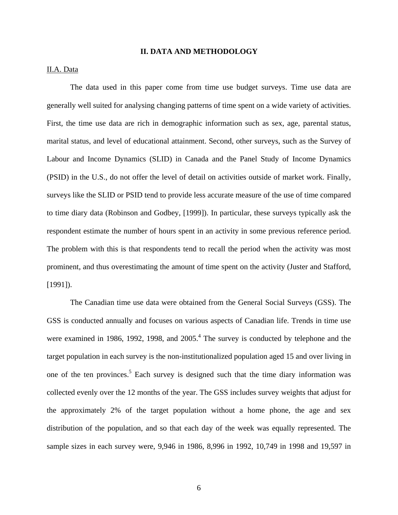## **II. DATA AND METHODOLOGY**

# II.A. Data

The data used in this paper come from time use budget surveys. Time use data are generally well suited for analysing changing patterns of time spent on a wide variety of activities. First, the time use data are rich in demographic information such as sex, age, parental status, marital status, and level of educational attainment. Second, other surveys, such as the Survey of Labour and Income Dynamics (SLID) in Canada and the Panel Study of Income Dynamics (PSID) in the U.S., do not offer the level of detail on activities outside of market work. Finally, surveys like the SLID or PSID tend to provide less accurate measure of the use of time compared to time diary data (Robinson and Godbey, [1999]). In particular, these surveys typically ask the respondent estimate the number of hours spent in an activity in some previous reference period. The problem with this is that respondents tend to recall the period when the activity was most prominent, and thus overestimating the amount of time spent on the activity (Juster and Stafford, [1991]).

The Canadian time use data were obtained from the General Social Surveys (GSS). The GSS is conducted annually and focuses on various aspects of Canadian life. Trends in time use were examined in 1986, 1992, 1998, and  $2005<sup>4</sup>$ . The survey is conducted by telephone and the target population in each survey is the non-institutionalized population aged 15 and over living in one of the ten provinces.<sup>5</sup> Each survey is designed such that the time diary information was collected evenly over the 12 months of the year. The GSS includes survey weights that adjust for the approximately 2% of the target population without a home phone, the age and sex distribution of the population, and so that each day of the week was equally represented. The sample sizes in each survey were, 9,946 in 1986, 8,996 in 1992, 10,749 in 1998 and 19,597 in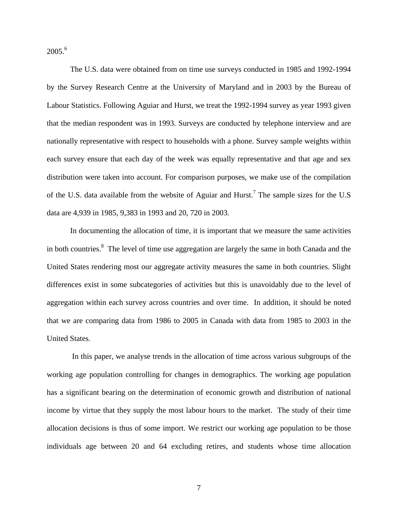$2005.<sup>6</sup>$ 

The U.S. data were obtained from on time use surveys conducted in 1985 and 1992-1994 by the Survey Research Centre at the University of Maryland and in 2003 by the Bureau of Labour Statistics. Following Aguiar and Hurst, we treat the 1992-1994 survey as year 1993 given that the median respondent was in 1993. Surveys are conducted by telephone interview and are nationally representative with respect to households with a phone. Survey sample weights within each survey ensure that each day of the week was equally representative and that age and sex distribution were taken into account. For comparison purposes, we make use of the compilation of the U.S. data available from the website of Aguiar and Hurst.<sup>7</sup> The sample sizes for the U.S data are 4,939 in 1985, 9,383 in 1993 and 20, 720 in 2003.

In documenting the allocation of time, it is important that we measure the same activities in both countries.<sup>8</sup> The level of time use aggregation are largely the same in both Canada and the United States rendering most our aggregate activity measures the same in both countries. Slight differences exist in some subcategories of activities but this is unavoidably due to the level of aggregation within each survey across countries and over time. In addition, it should be noted that we are comparing data from 1986 to 2005 in Canada with data from 1985 to 2003 in the United States.

 In this paper, we analyse trends in the allocation of time across various subgroups of the working age population controlling for changes in demographics. The working age population has a significant bearing on the determination of economic growth and distribution of national income by virtue that they supply the most labour hours to the market. The study of their time allocation decisions is thus of some import. We restrict our working age population to be those individuals age between 20 and 64 excluding retires, and students whose time allocation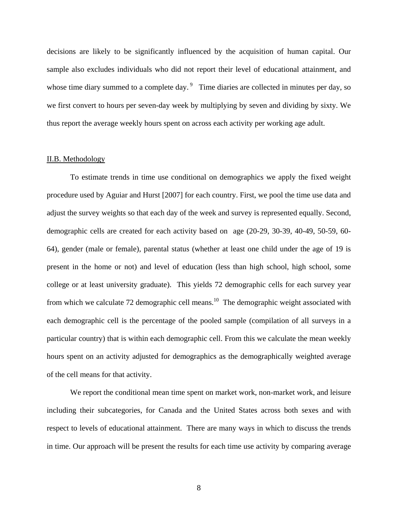decisions are likely to be significantly influenced by the acquisition of human capital. Our sample also excludes individuals who did not report their level of educational attainment, and whose time diary summed to a complete day.<sup>9</sup> Time diaries are collected in minutes per day, so we first convert to hours per seven-day week by multiplying by seven and dividing by sixty. We thus report the average weekly hours spent on across each activity per working age adult.

#### II.B. Methodology

To estimate trends in time use conditional on demographics we apply the fixed weight procedure used by Aguiar and Hurst [2007] for each country. First, we pool the time use data and adjust the survey weights so that each day of the week and survey is represented equally. Second, demographic cells are created for each activity based on age (20-29, 30-39, 40-49, 50-59, 60- 64), gender (male or female), parental status (whether at least one child under the age of 19 is present in the home or not) and level of education (less than high school, high school, some college or at least university graduate). This yields 72 demographic cells for each survey year from which we calculate 72 demographic cell means.<sup>10</sup> The demographic weight associated with each demographic cell is the percentage of the pooled sample (compilation of all surveys in a particular country) that is within each demographic cell. From this we calculate the mean weekly hours spent on an activity adjusted for demographics as the demographically weighted average of the cell means for that activity.

We report the conditional mean time spent on market work, non-market work, and leisure including their subcategories, for Canada and the United States across both sexes and with respect to levels of educational attainment. There are many ways in which to discuss the trends in time. Our approach will be present the results for each time use activity by comparing average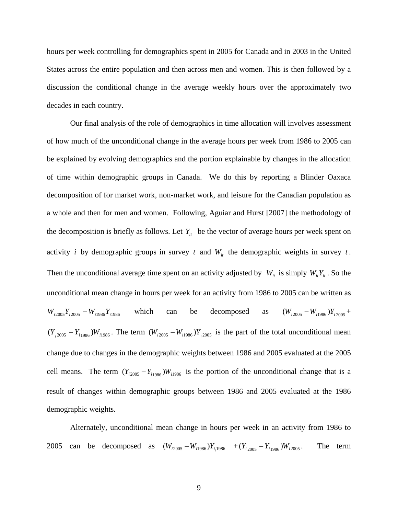hours per week controlling for demographics spent in 2005 for Canada and in 2003 in the United States across the entire population and then across men and women. This is then followed by a discussion the conditional change in the average weekly hours over the approximately two decades in each country.

Our final analysis of the role of demographics in time allocation will involves assessment of how much of the unconditional change in the average hours per week from 1986 to 2005 can be explained by evolving demographics and the portion explainable by changes in the allocation of time within demographic groups in Canada. We do this by reporting a Blinder Oaxaca decomposition of for market work, non-market work, and leisure for the Canadian population as a whole and then for men and women. Following, Aguiar and Hurst [2007] the methodology of the decomposition is briefly as follows. Let  $Y_i$  be the vector of average hours per week spent on activity *i* by demographic groups in survey *t* and  $W_{it}$  the demographic weights in survey *t*. Then the unconditional average time spent on an activity adjusted by  $W_{it}$  is simply  $W_{it}Y_{it}$ . So the unconditional mean change in hours per week for an activity from 1986 to 2005 can be written as  $W_{i2005}Y_{i2005} - W_{i1986}Y_{i1986}$  which can be decomposed as  $(W_{i2005} - W_{i1986})Y_{i2005} + W_{i1986}Y_{i1986}$  $(Y_{i_{1}^{2005}} - Y_{i_{1986}})W_{i_{1986}}$ . The term  $(W_{i_{2005}} - W_{i_{1986}})Y_{i_{1986}}$  is the part of the total unconditional mean change due to changes in the demographic weights between 1986 and 2005 evaluated at the 2005 cell means. The term  $(Y_{i2005} - Y_{i1986})W_{i1986}$  is the portion of the unconditional change that is a result of changes within demographic groups between 1986 and 2005 evaluated at the 1986 demographic weights.

Alternately, unconditional mean change in hours per week in an activity from 1986 to 2005 can be decomposed as  $(W_{i2005} - W_{i1986}) Y_{i1986} + (Y_{i2005} - Y_{i1986}) W_{i2005}$ . The term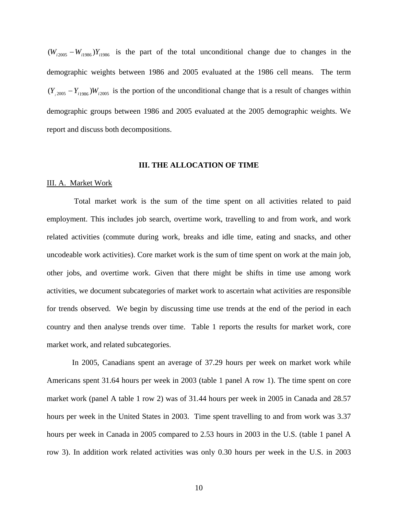$(W_{i2005} - W_{i1986}) Y_{i1986}$  is the part of the total unconditional change due to changes in the demographic weights between 1986 and 2005 evaluated at the 1986 cell means. The term  $(Y_{i_{1}^{2005}} - Y_{i_{1986}})W_{i_{2005}}$  is the portion of the unconditional change that is a result of changes within demographic groups between 1986 and 2005 evaluated at the 2005 demographic weights. We report and discuss both decompositions.

## **III. THE ALLOCATION OF TIME**

## III. A. Market Work

 Total market work is the sum of the time spent on all activities related to paid employment. This includes job search, overtime work, travelling to and from work, and work related activities (commute during work, breaks and idle time, eating and snacks, and other uncodeable work activities). Core market work is the sum of time spent on work at the main job, other jobs, and overtime work. Given that there might be shifts in time use among work activities, we document subcategories of market work to ascertain what activities are responsible for trends observed. We begin by discussing time use trends at the end of the period in each country and then analyse trends over time. Table 1 reports the results for market work, core market work, and related subcategories.

 In 2005, Canadians spent an average of 37.29 hours per week on market work while Americans spent 31.64 hours per week in 2003 (table 1 panel A row 1). The time spent on core market work (panel A table 1 row 2) was of 31.44 hours per week in 2005 in Canada and 28.57 hours per week in the United States in 2003. Time spent travelling to and from work was 3.37 hours per week in Canada in 2005 compared to 2.53 hours in 2003 in the U.S. (table 1 panel A row 3). In addition work related activities was only 0.30 hours per week in the U.S. in 2003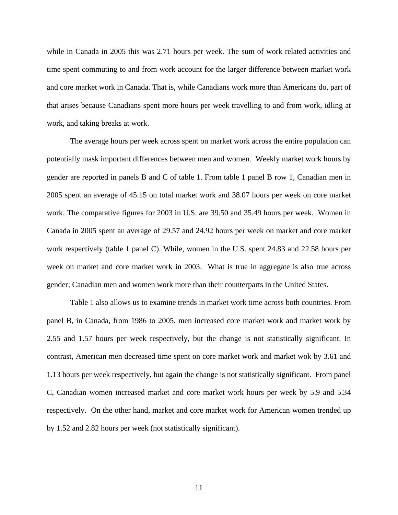while in Canada in 2005 this was 2.71 hours per week. The sum of work related activities and time spent commuting to and from work account for the larger difference between market work and core market work in Canada. That is, while Canadians work more than Americans do, part of that arises because Canadians spent more hours per week travelling to and from work, idling at work, and taking breaks at work.

The average hours per week across spent on market work across the entire population can potentially mask important differences between men and women. Weekly market work hours by gender are reported in panels B and C of table 1. From table 1 panel B row 1, Canadian men in 2005 spent an average of 45.15 on total market work and 38.07 hours per week on core market work. The comparative figures for 2003 in U.S. are 39.50 and 35.49 hours per week. Women in Canada in 2005 spent an average of 29.57 and 24.92 hours per week on market and core market work respectively (table 1 panel C). While, women in the U.S. spent 24.83 and 22.58 hours per week on market and core market work in 2003. What is true in aggregate is also true across gender; Canadian men and women work more than their counterparts in the United States.

Table 1 also allows us to examine trends in market work time across both countries. From panel B, in Canada, from 1986 to 2005, men increased core market work and market work by 2.55 and 1.57 hours per week respectively, but the change is not statistically significant. In contrast, American men decreased time spent on core market work and market wok by 3.61 and 1.13 hours per week respectively, but again the change is not statistically significant. From panel C, Canadian women increased market and core market work hours per week by 5.9 and 5.34 respectively. On the other hand, market and core market work for American women trended up by 1.52 and 2.82 hours per week (not statistically significant).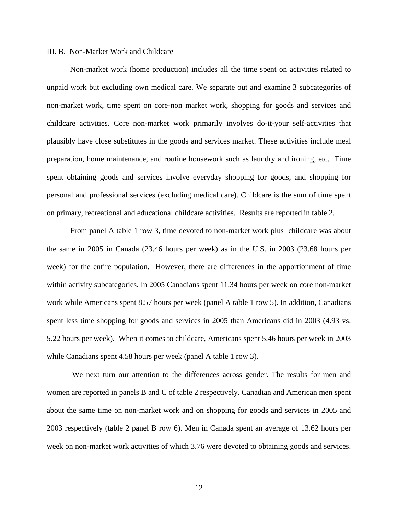#### III. B. Non-Market Work and Childcare

Non-market work (home production) includes all the time spent on activities related to unpaid work but excluding own medical care. We separate out and examine 3 subcategories of non-market work, time spent on core-non market work, shopping for goods and services and childcare activities. Core non-market work primarily involves do-it-your self-activities that plausibly have close substitutes in the goods and services market. These activities include meal preparation, home maintenance, and routine housework such as laundry and ironing, etc. Time spent obtaining goods and services involve everyday shopping for goods, and shopping for personal and professional services (excluding medical care). Childcare is the sum of time spent on primary, recreational and educational childcare activities. Results are reported in table 2.

From panel A table 1 row 3, time devoted to non-market work plus childcare was about the same in 2005 in Canada (23.46 hours per week) as in the U.S. in 2003 (23.68 hours per week) for the entire population. However, there are differences in the apportionment of time within activity subcategories. In 2005 Canadians spent 11.34 hours per week on core non-market work while Americans spent 8.57 hours per week (panel A table 1 row 5). In addition, Canadians spent less time shopping for goods and services in 2005 than Americans did in 2003 (4.93 vs. 5.22 hours per week). When it comes to childcare, Americans spent 5.46 hours per week in 2003 while Canadians spent 4.58 hours per week (panel A table 1 row 3).

 We next turn our attention to the differences across gender. The results for men and women are reported in panels B and C of table 2 respectively. Canadian and American men spent about the same time on non-market work and on shopping for goods and services in 2005 and 2003 respectively (table 2 panel B row 6). Men in Canada spent an average of 13.62 hours per week on non-market work activities of which 3.76 were devoted to obtaining goods and services.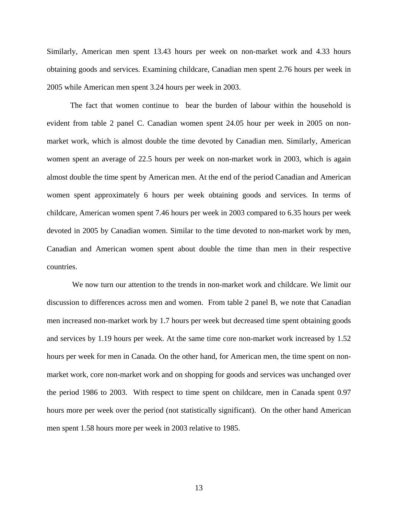Similarly, American men spent 13.43 hours per week on non-market work and 4.33 hours obtaining goods and services. Examining childcare, Canadian men spent 2.76 hours per week in 2005 while American men spent 3.24 hours per week in 2003.

 The fact that women continue to bear the burden of labour within the household is evident from table 2 panel C. Canadian women spent 24.05 hour per week in 2005 on nonmarket work, which is almost double the time devoted by Canadian men. Similarly, American women spent an average of 22.5 hours per week on non-market work in 2003, which is again almost double the time spent by American men. At the end of the period Canadian and American women spent approximately 6 hours per week obtaining goods and services. In terms of childcare, American women spent 7.46 hours per week in 2003 compared to 6.35 hours per week devoted in 2005 by Canadian women. Similar to the time devoted to non-market work by men, Canadian and American women spent about double the time than men in their respective countries.

We now turn our attention to the trends in non-market work and childcare. We limit our discussion to differences across men and women. From table 2 panel B, we note that Canadian men increased non-market work by 1.7 hours per week but decreased time spent obtaining goods and services by 1.19 hours per week. At the same time core non-market work increased by 1.52 hours per week for men in Canada. On the other hand, for American men, the time spent on nonmarket work, core non-market work and on shopping for goods and services was unchanged over the period 1986 to 2003. With respect to time spent on childcare, men in Canada spent 0.97 hours more per week over the period (not statistically significant). On the other hand American men spent 1.58 hours more per week in 2003 relative to 1985.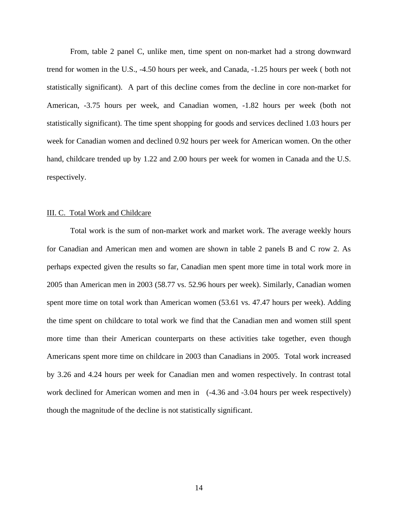From, table 2 panel C, unlike men, time spent on non-market had a strong downward trend for women in the U.S., -4.50 hours per week, and Canada, -1.25 hours per week ( both not statistically significant). A part of this decline comes from the decline in core non-market for American, -3.75 hours per week, and Canadian women, -1.82 hours per week (both not statistically significant). The time spent shopping for goods and services declined 1.03 hours per week for Canadian women and declined 0.92 hours per week for American women. On the other hand, childcare trended up by 1.22 and 2.00 hours per week for women in Canada and the U.S. respectively.

#### III. C. Total Work and Childcare

Total work is the sum of non-market work and market work. The average weekly hours for Canadian and American men and women are shown in table 2 panels B and C row 2. As perhaps expected given the results so far, Canadian men spent more time in total work more in 2005 than American men in 2003 (58.77 vs. 52.96 hours per week). Similarly, Canadian women spent more time on total work than American women (53.61 vs. 47.47 hours per week). Adding the time spent on childcare to total work we find that the Canadian men and women still spent more time than their American counterparts on these activities take together, even though Americans spent more time on childcare in 2003 than Canadians in 2005. Total work increased by 3.26 and 4.24 hours per week for Canadian men and women respectively. In contrast total work declined for American women and men in  $(-4.36 \text{ and } -3.04 \text{ hours per week respectively})$ though the magnitude of the decline is not statistically significant.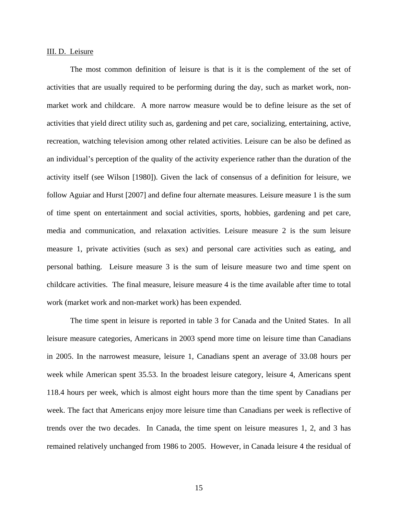#### III. D. Leisure

The most common definition of leisure is that is it is the complement of the set of activities that are usually required to be performing during the day, such as market work, nonmarket work and childcare. A more narrow measure would be to define leisure as the set of activities that yield direct utility such as, gardening and pet care, socializing, entertaining, active, recreation, watching television among other related activities. Leisure can be also be defined as an individual's perception of the quality of the activity experience rather than the duration of the activity itself (see Wilson [1980]). Given the lack of consensus of a definition for leisure, we follow Aguiar and Hurst [2007] and define four alternate measures. Leisure measure 1 is the sum of time spent on entertainment and social activities, sports, hobbies, gardening and pet care, media and communication, and relaxation activities. Leisure measure 2 is the sum leisure measure 1, private activities (such as sex) and personal care activities such as eating, and personal bathing. Leisure measure 3 is the sum of leisure measure two and time spent on childcare activities. The final measure, leisure measure 4 is the time available after time to total work (market work and non-market work) has been expended.

The time spent in leisure is reported in table 3 for Canada and the United States. In all leisure measure categories, Americans in 2003 spend more time on leisure time than Canadians in 2005. In the narrowest measure, leisure 1, Canadians spent an average of 33.08 hours per week while American spent 35.53. In the broadest leisure category, leisure 4, Americans spent 118.4 hours per week, which is almost eight hours more than the time spent by Canadians per week. The fact that Americans enjoy more leisure time than Canadians per week is reflective of trends over the two decades. In Canada, the time spent on leisure measures 1, 2, and 3 has remained relatively unchanged from 1986 to 2005. However, in Canada leisure 4 the residual of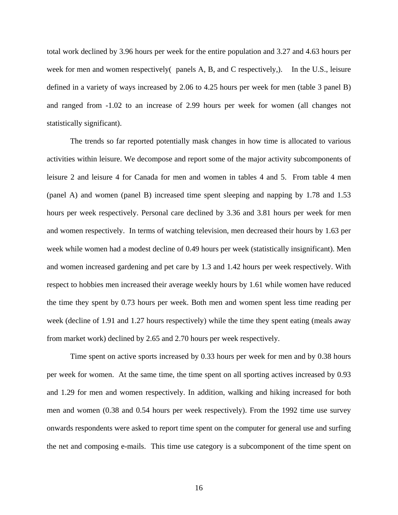total work declined by 3.96 hours per week for the entire population and 3.27 and 4.63 hours per week for men and women respectively( panels A, B, and C respectively,). In the U.S., leisure defined in a variety of ways increased by 2.06 to 4.25 hours per week for men (table 3 panel B) and ranged from -1.02 to an increase of 2.99 hours per week for women (all changes not statistically significant).

 The trends so far reported potentially mask changes in how time is allocated to various activities within leisure. We decompose and report some of the major activity subcomponents of leisure 2 and leisure 4 for Canada for men and women in tables 4 and 5. From table 4 men (panel A) and women (panel B) increased time spent sleeping and napping by 1.78 and 1.53 hours per week respectively. Personal care declined by 3.36 and 3.81 hours per week for men and women respectively. In terms of watching television, men decreased their hours by 1.63 per week while women had a modest decline of 0.49 hours per week (statistically insignificant). Men and women increased gardening and pet care by 1.3 and 1.42 hours per week respectively. With respect to hobbies men increased their average weekly hours by 1.61 while women have reduced the time they spent by 0.73 hours per week. Both men and women spent less time reading per week (decline of 1.91 and 1.27 hours respectively) while the time they spent eating (meals away from market work) declined by 2.65 and 2.70 hours per week respectively.

Time spent on active sports increased by 0.33 hours per week for men and by 0.38 hours per week for women. At the same time, the time spent on all sporting actives increased by 0.93 and 1.29 for men and women respectively. In addition, walking and hiking increased for both men and women (0.38 and 0.54 hours per week respectively). From the 1992 time use survey onwards respondents were asked to report time spent on the computer for general use and surfing the net and composing e-mails. This time use category is a subcomponent of the time spent on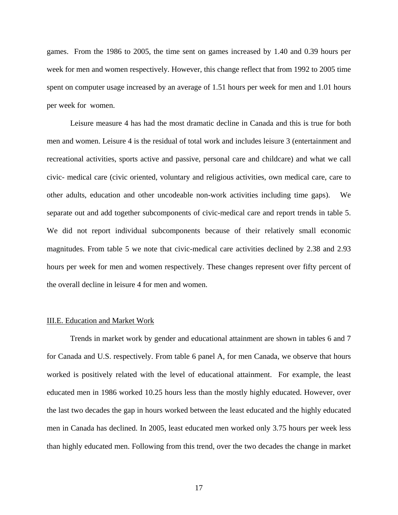games. From the 1986 to 2005, the time sent on games increased by 1.40 and 0.39 hours per week for men and women respectively. However, this change reflect that from 1992 to 2005 time spent on computer usage increased by an average of 1.51 hours per week for men and 1.01 hours per week for women.

Leisure measure 4 has had the most dramatic decline in Canada and this is true for both men and women. Leisure 4 is the residual of total work and includes leisure 3 (entertainment and recreational activities, sports active and passive, personal care and childcare) and what we call civic- medical care (civic oriented, voluntary and religious activities, own medical care, care to other adults, education and other uncodeable non-work activities including time gaps). We separate out and add together subcomponents of civic-medical care and report trends in table 5. We did not report individual subcomponents because of their relatively small economic magnitudes. From table 5 we note that civic-medical care activities declined by 2.38 and 2.93 hours per week for men and women respectively. These changes represent over fifty percent of the overall decline in leisure 4 for men and women.

## III.E. Education and Market Work

Trends in market work by gender and educational attainment are shown in tables 6 and 7 for Canada and U.S. respectively. From table 6 panel A, for men Canada, we observe that hours worked is positively related with the level of educational attainment. For example, the least educated men in 1986 worked 10.25 hours less than the mostly highly educated. However, over the last two decades the gap in hours worked between the least educated and the highly educated men in Canada has declined. In 2005, least educated men worked only 3.75 hours per week less than highly educated men. Following from this trend, over the two decades the change in market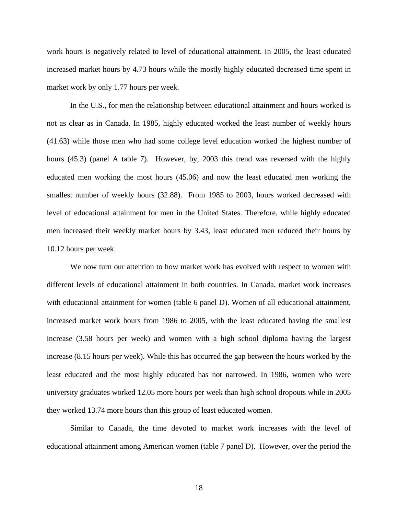work hours is negatively related to level of educational attainment. In 2005, the least educated increased market hours by 4.73 hours while the mostly highly educated decreased time spent in market work by only 1.77 hours per week.

In the U.S., for men the relationship between educational attainment and hours worked is not as clear as in Canada. In 1985, highly educated worked the least number of weekly hours (41.63) while those men who had some college level education worked the highest number of hours (45.3) (panel A table 7). However, by, 2003 this trend was reversed with the highly educated men working the most hours (45.06) and now the least educated men working the smallest number of weekly hours (32.88). From 1985 to 2003, hours worked decreased with level of educational attainment for men in the United States. Therefore, while highly educated men increased their weekly market hours by 3.43, least educated men reduced their hours by 10.12 hours per week.

We now turn our attention to how market work has evolved with respect to women with different levels of educational attainment in both countries. In Canada, market work increases with educational attainment for women (table 6 panel D). Women of all educational attainment, increased market work hours from 1986 to 2005, with the least educated having the smallest increase (3.58 hours per week) and women with a high school diploma having the largest increase (8.15 hours per week). While this has occurred the gap between the hours worked by the least educated and the most highly educated has not narrowed. In 1986, women who were university graduates worked 12.05 more hours per week than high school dropouts while in 2005 they worked 13.74 more hours than this group of least educated women.

Similar to Canada, the time devoted to market work increases with the level of educational attainment among American women (table 7 panel D). However, over the period the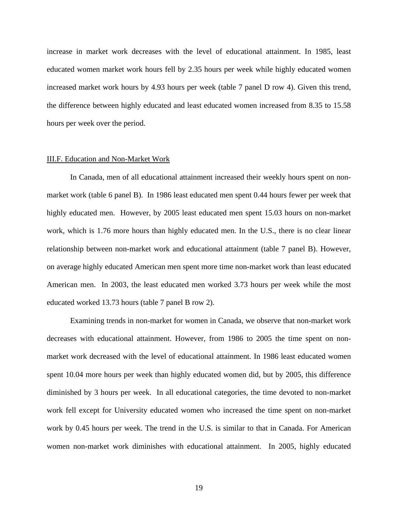increase in market work decreases with the level of educational attainment. In 1985, least educated women market work hours fell by 2.35 hours per week while highly educated women increased market work hours by 4.93 hours per week (table 7 panel D row 4). Given this trend, the difference between highly educated and least educated women increased from 8.35 to 15.58 hours per week over the period.

#### III.F. Education and Non-Market Work

In Canada, men of all educational attainment increased their weekly hours spent on nonmarket work (table 6 panel B). In 1986 least educated men spent 0.44 hours fewer per week that highly educated men. However, by 2005 least educated men spent 15.03 hours on non-market work, which is 1.76 more hours than highly educated men. In the U.S., there is no clear linear relationship between non-market work and educational attainment (table 7 panel B). However, on average highly educated American men spent more time non-market work than least educated American men. In 2003, the least educated men worked 3.73 hours per week while the most educated worked 13.73 hours (table 7 panel B row 2).

Examining trends in non-market for women in Canada, we observe that non-market work decreases with educational attainment. However, from 1986 to 2005 the time spent on nonmarket work decreased with the level of educational attainment. In 1986 least educated women spent 10.04 more hours per week than highly educated women did, but by 2005, this difference diminished by 3 hours per week. In all educational categories, the time devoted to non-market work fell except for University educated women who increased the time spent on non-market work by 0.45 hours per week. The trend in the U.S. is similar to that in Canada. For American women non-market work diminishes with educational attainment. In 2005, highly educated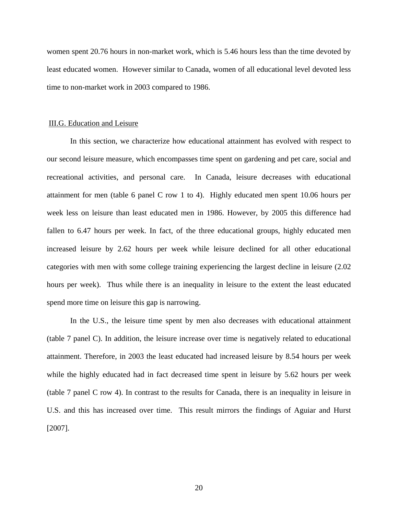women spent 20.76 hours in non-market work, which is 5.46 hours less than the time devoted by least educated women. However similar to Canada, women of all educational level devoted less time to non-market work in 2003 compared to 1986.

## III.G. Education and Leisure

In this section, we characterize how educational attainment has evolved with respect to our second leisure measure, which encompasses time spent on gardening and pet care, social and recreational activities, and personal care. In Canada, leisure decreases with educational attainment for men (table 6 panel C row 1 to 4). Highly educated men spent 10.06 hours per week less on leisure than least educated men in 1986. However, by 2005 this difference had fallen to 6.47 hours per week. In fact, of the three educational groups, highly educated men increased leisure by 2.62 hours per week while leisure declined for all other educational categories with men with some college training experiencing the largest decline in leisure (2.02 hours per week). Thus while there is an inequality in leisure to the extent the least educated spend more time on leisure this gap is narrowing.

In the U.S., the leisure time spent by men also decreases with educational attainment (table 7 panel C). In addition, the leisure increase over time is negatively related to educational attainment. Therefore, in 2003 the least educated had increased leisure by 8.54 hours per week while the highly educated had in fact decreased time spent in leisure by 5.62 hours per week (table 7 panel C row 4). In contrast to the results for Canada, there is an inequality in leisure in U.S. and this has increased over time. This result mirrors the findings of Aguiar and Hurst [2007].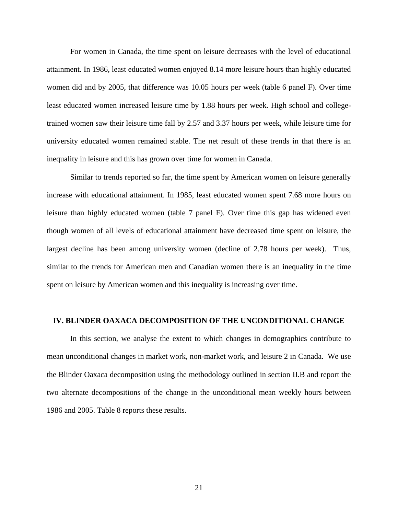For women in Canada, the time spent on leisure decreases with the level of educational attainment. In 1986, least educated women enjoyed 8.14 more leisure hours than highly educated women did and by 2005, that difference was 10.05 hours per week (table 6 panel F). Over time least educated women increased leisure time by 1.88 hours per week. High school and collegetrained women saw their leisure time fall by 2.57 and 3.37 hours per week, while leisure time for university educated women remained stable. The net result of these trends in that there is an inequality in leisure and this has grown over time for women in Canada.

Similar to trends reported so far, the time spent by American women on leisure generally increase with educational attainment. In 1985, least educated women spent 7.68 more hours on leisure than highly educated women (table 7 panel F). Over time this gap has widened even though women of all levels of educational attainment have decreased time spent on leisure, the largest decline has been among university women (decline of 2.78 hours per week). Thus, similar to the trends for American men and Canadian women there is an inequality in the time spent on leisure by American women and this inequality is increasing over time.

#### **IV. BLINDER OAXACA DECOMPOSITION OF THE UNCONDITIONAL CHANGE**

In this section, we analyse the extent to which changes in demographics contribute to mean unconditional changes in market work, non-market work, and leisure 2 in Canada. We use the Blinder Oaxaca decomposition using the methodology outlined in section II.B and report the two alternate decompositions of the change in the unconditional mean weekly hours between 1986 and 2005. Table 8 reports these results.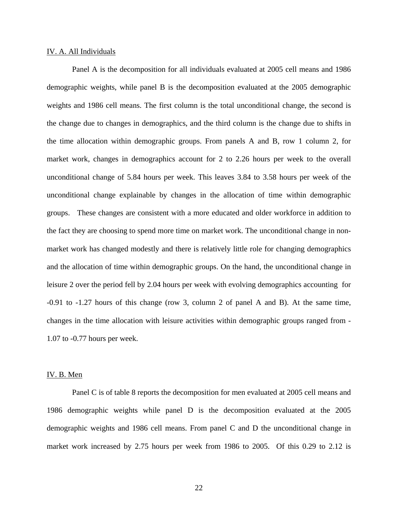## IV. A. All Individuals

 Panel A is the decomposition for all individuals evaluated at 2005 cell means and 1986 demographic weights, while panel B is the decomposition evaluated at the 2005 demographic weights and 1986 cell means. The first column is the total unconditional change, the second is the change due to changes in demographics, and the third column is the change due to shifts in the time allocation within demographic groups. From panels A and B, row 1 column 2, for market work, changes in demographics account for 2 to 2.26 hours per week to the overall unconditional change of 5.84 hours per week. This leaves 3.84 to 3.58 hours per week of the unconditional change explainable by changes in the allocation of time within demographic groups. These changes are consistent with a more educated and older workforce in addition to the fact they are choosing to spend more time on market work. The unconditional change in nonmarket work has changed modestly and there is relatively little role for changing demographics and the allocation of time within demographic groups. On the hand, the unconditional change in leisure 2 over the period fell by 2.04 hours per week with evolving demographics accounting for -0.91 to -1.27 hours of this change (row 3, column 2 of panel A and B). At the same time, changes in the time allocation with leisure activities within demographic groups ranged from - 1.07 to -0.77 hours per week.

## IV. B. Men

 Panel C is of table 8 reports the decomposition for men evaluated at 2005 cell means and 1986 demographic weights while panel D is the decomposition evaluated at the 2005 demographic weights and 1986 cell means. From panel C and D the unconditional change in market work increased by 2.75 hours per week from 1986 to 2005. Of this 0.29 to 2.12 is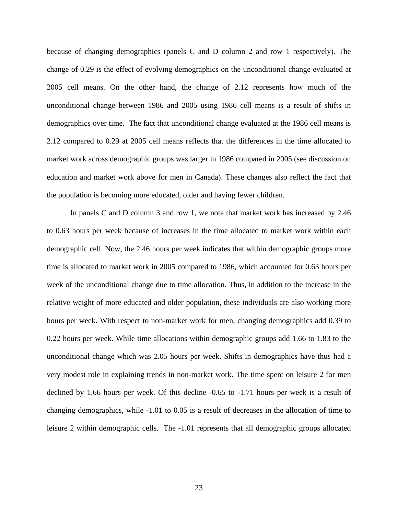because of changing demographics (panels C and D column 2 and row 1 respectively). The change of 0.29 is the effect of evolving demographics on the unconditional change evaluated at 2005 cell means. On the other hand, the change of 2.12 represents how much of the unconditional change between 1986 and 2005 using 1986 cell means is a result of shifts in demographics over time. The fact that unconditional change evaluated at the 1986 cell means is 2.12 compared to 0.29 at 2005 cell means reflects that the differences in the time allocated to market work across demographic groups was larger in 1986 compared in 2005 (see discussion on education and market work above for men in Canada). These changes also reflect the fact that the population is becoming more educated, older and having fewer children.

In panels C and D column 3 and row 1, we note that market work has increased by 2.46 to 0.63 hours per week because of increases in the time allocated to market work within each demographic cell. Now, the 2.46 hours per week indicates that within demographic groups more time is allocated to market work in 2005 compared to 1986, which accounted for 0.63 hours per week of the unconditional change due to time allocation. Thus, in addition to the increase in the relative weight of more educated and older population, these individuals are also working more hours per week. With respect to non-market work for men, changing demographics add 0.39 to 0.22 hours per week. While time allocations within demographic groups add 1.66 to 1.83 to the unconditional change which was 2.05 hours per week. Shifts in demographics have thus had a very modest role in explaining trends in non-market work. The time spent on leisure 2 for men declined by 1.66 hours per week. Of this decline -0.65 to -1.71 hours per week is a result of changing demographics, while -1.01 to 0.05 is a result of decreases in the allocation of time to leisure 2 within demographic cells. The -1.01 represents that all demographic groups allocated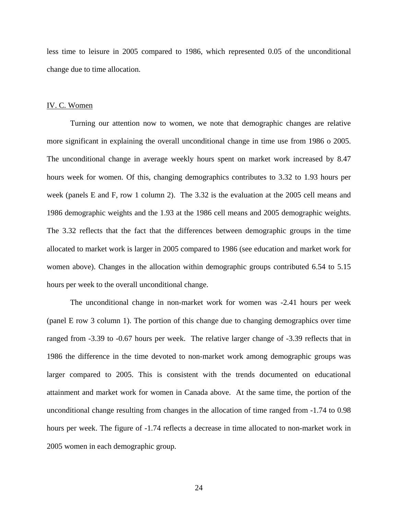less time to leisure in 2005 compared to 1986, which represented 0.05 of the unconditional change due to time allocation.

## IV. C. Women

Turning our attention now to women, we note that demographic changes are relative more significant in explaining the overall unconditional change in time use from 1986 o 2005. The unconditional change in average weekly hours spent on market work increased by 8.47 hours week for women. Of this, changing demographics contributes to 3.32 to 1.93 hours per week (panels E and F, row 1 column 2). The 3.32 is the evaluation at the 2005 cell means and 1986 demographic weights and the 1.93 at the 1986 cell means and 2005 demographic weights. The 3.32 reflects that the fact that the differences between demographic groups in the time allocated to market work is larger in 2005 compared to 1986 (see education and market work for women above). Changes in the allocation within demographic groups contributed 6.54 to 5.15 hours per week to the overall unconditional change.

The unconditional change in non-market work for women was -2.41 hours per week (panel E row 3 column 1). The portion of this change due to changing demographics over time ranged from -3.39 to -0.67 hours per week. The relative larger change of -3.39 reflects that in 1986 the difference in the time devoted to non-market work among demographic groups was larger compared to 2005. This is consistent with the trends documented on educational attainment and market work for women in Canada above. At the same time, the portion of the unconditional change resulting from changes in the allocation of time ranged from -1.74 to 0.98 hours per week. The figure of -1.74 reflects a decrease in time allocated to non-market work in 2005 women in each demographic group.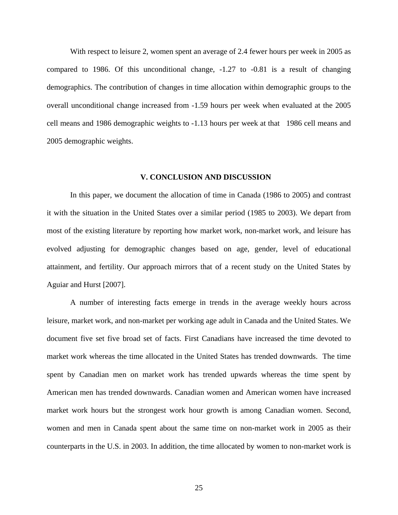With respect to leisure 2, women spent an average of 2.4 fewer hours per week in 2005 as compared to 1986. Of this unconditional change, -1.27 to -0.81 is a result of changing demographics. The contribution of changes in time allocation within demographic groups to the overall unconditional change increased from -1.59 hours per week when evaluated at the 2005 cell means and 1986 demographic weights to -1.13 hours per week at that 1986 cell means and 2005 demographic weights.

## **V. CONCLUSION AND DISCUSSION**

In this paper, we document the allocation of time in Canada (1986 to 2005) and contrast it with the situation in the United States over a similar period (1985 to 2003). We depart from most of the existing literature by reporting how market work, non-market work, and leisure has evolved adjusting for demographic changes based on age, gender, level of educational attainment, and fertility. Our approach mirrors that of a recent study on the United States by Aguiar and Hurst [2007].

A number of interesting facts emerge in trends in the average weekly hours across leisure, market work, and non-market per working age adult in Canada and the United States. We document five set five broad set of facts. First Canadians have increased the time devoted to market work whereas the time allocated in the United States has trended downwards. The time spent by Canadian men on market work has trended upwards whereas the time spent by American men has trended downwards. Canadian women and American women have increased market work hours but the strongest work hour growth is among Canadian women. Second, women and men in Canada spent about the same time on non-market work in 2005 as their counterparts in the U.S. in 2003. In addition, the time allocated by women to non-market work is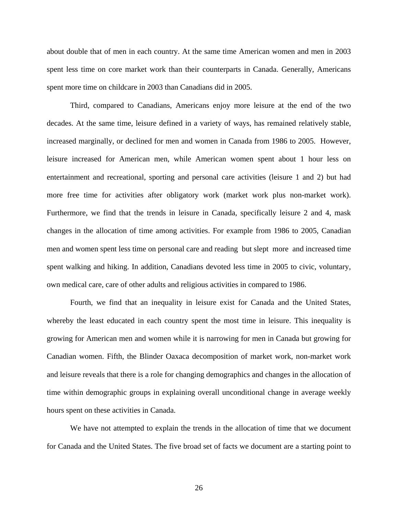about double that of men in each country. At the same time American women and men in 2003 spent less time on core market work than their counterparts in Canada. Generally, Americans spent more time on childcare in 2003 than Canadians did in 2005.

Third, compared to Canadians, Americans enjoy more leisure at the end of the two decades. At the same time, leisure defined in a variety of ways, has remained relatively stable, increased marginally, or declined for men and women in Canada from 1986 to 2005. However, leisure increased for American men, while American women spent about 1 hour less on entertainment and recreational, sporting and personal care activities (leisure 1 and 2) but had more free time for activities after obligatory work (market work plus non-market work). Furthermore, we find that the trends in leisure in Canada, specifically leisure 2 and 4, mask changes in the allocation of time among activities. For example from 1986 to 2005, Canadian men and women spent less time on personal care and reading but slept more and increased time spent walking and hiking. In addition, Canadians devoted less time in 2005 to civic, voluntary, own medical care, care of other adults and religious activities in compared to 1986.

Fourth, we find that an inequality in leisure exist for Canada and the United States, whereby the least educated in each country spent the most time in leisure. This inequality is growing for American men and women while it is narrowing for men in Canada but growing for Canadian women. Fifth, the Blinder Oaxaca decomposition of market work, non-market work and leisure reveals that there is a role for changing demographics and changes in the allocation of time within demographic groups in explaining overall unconditional change in average weekly hours spent on these activities in Canada.

 We have not attempted to explain the trends in the allocation of time that we document for Canada and the United States. The five broad set of facts we document are a starting point to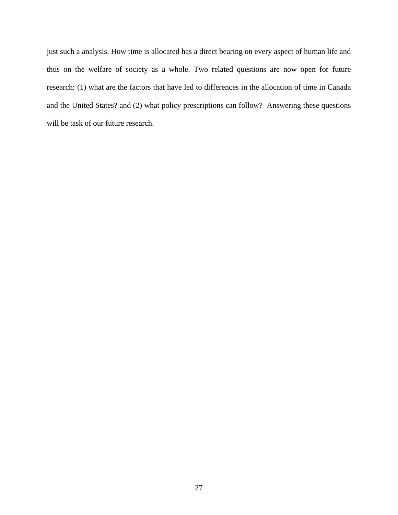just such a analysis. How time is allocated has a direct bearing on every aspect of human life and thus on the welfare of society as a whole. Two related questions are now open for future research: (1) what are the factors that have led to differences in the allocation of time in Canada and the United States? and (2) what policy prescriptions can follow? Answering these questions will be task of our future research.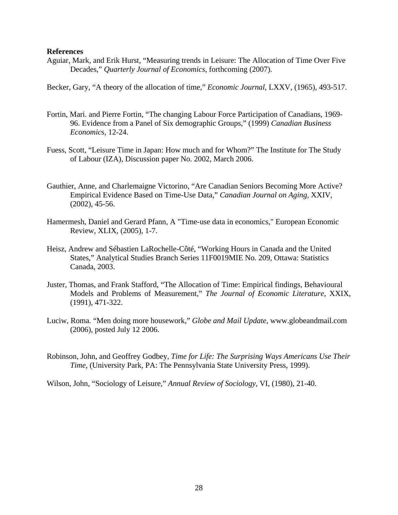## **References**

Aguiar, Mark, and Erik Hurst, "Measuring trends in Leisure: The Allocation of Time Over Five Decades," *Quarterly Journal of Economics*, forthcoming (2007).

Becker, Gary, "A theory of the allocation of time," *Economic Journal*, LXXV, (1965), 493-517.

- Fortin, Mari. and Pierre Fortin, "The changing Labour Force Participation of Canadians, 1969- 96. Evidence from a Panel of Six demographic Groups," (1999) *Canadian Business Economic*s, 12-24.
- Fuess, Scott, "Leisure Time in Japan: How much and for Whom?" The Institute for The Study of Labour (IZA), Discussion paper No. 2002, March 2006.
- Gauthier, Anne, and Charlemaigne Victorino, "Are Canadian Seniors Becoming More Active? Empirical Evidence Based on Time-Use Data," *Canadian Journal on Aging*, XXIV, (2002), 45-56.
- Hamermesh, Daniel and Gerard Pfann, A "Time-use data in economics," European Economic Review, XLIX, (2005), 1-7.
- Heisz, Andrew and Sébastien LaRochelle-Côté, "Working Hours in Canada and the United States," Analytical Studies Branch Series 11F0019MIE No. 209, Ottawa: Statistics Canada, 2003.
- Juster, Thomas, and Frank Stafford, "The Allocation of Time: Empirical findings, Behavioural Models and Problems of Measurement," *The Journal of Economic Literature*, XXIX, (1991), 471-322.
- Luciw, Roma. "Men doing more housework," *Globe and Mail Update*, www.globeandmail.com (2006), posted July 12 2006.
- Robinson, John, and Geoffrey Godbey, *Time for Life: The Surprising Ways Americans Use Their Time*, (University Park, PA: The Pennsylvania State University Press, 1999).

Wilson, John, "Sociology of Leisure," *Annual Review of Sociology*, VI, (1980), 21-40.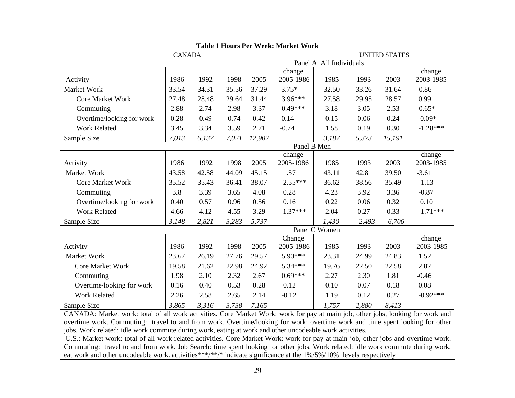| Table 1 Hours I et Week, Market<br><b>CANADA</b> |       |             |       |        |            | <b>UNITED STATES</b>    |       |        |            |
|--------------------------------------------------|-------|-------------|-------|--------|------------|-------------------------|-------|--------|------------|
|                                                  |       |             |       |        |            | Panel A All Individuals |       |        |            |
|                                                  |       |             |       |        | change     |                         |       |        | change     |
| Activity                                         | 1986  | 1992        | 1998  | 2005   | 2005-1986  | 1985                    | 1993  | 2003   | 2003-1985  |
| Market Work                                      | 33.54 | 34.31       | 35.56 | 37.29  | $3.75*$    | 32.50                   | 33.26 | 31.64  | $-0.86$    |
| <b>Core Market Work</b>                          | 27.48 | 28.48       | 29.64 | 31.44  | $3.96***$  | 27.58                   | 29.95 | 28.57  | 0.99       |
| Commuting                                        | 2.88  | 2.74        | 2.98  | 3.37   | $0.49***$  | 3.18                    | 3.05  | 2.53   | $-0.65*$   |
| Overtime/looking for work                        | 0.28  | 0.49        | 0.74  | 0.42   | 0.14       | 0.15                    | 0.06  | 0.24   | $0.09*$    |
| <b>Work Related</b>                              | 3.45  | 3.34        | 3.59  | 2.71   | $-0.74$    | 1.58                    | 0.19  | 0.30   | $-1.28***$ |
| Sample Size                                      | 7,013 | 6,137       | 7,021 | 12,902 |            | 3,187                   | 5,373 | 15,191 |            |
|                                                  |       | Panel B Men |       |        |            |                         |       |        |            |
|                                                  |       |             |       |        | change     |                         |       |        | change     |
| Activity                                         | 1986  | 1992        | 1998  | 2005   | 2005-1986  | 1985                    | 1993  | 2003   | 2003-1985  |
| Market Work                                      | 43.58 | 42.58       | 44.09 | 45.15  | 1.57       | 43.11                   | 42.81 | 39.50  | $-3.61$    |
| <b>Core Market Work</b>                          | 35.52 | 35.43       | 36.41 | 38.07  | $2.55***$  | 36.62                   | 38.56 | 35.49  | $-1.13$    |
| Commuting                                        | 3.8   | 3.39        | 3.65  | 4.08   | 0.28       | 4.23                    | 3.92  | 3.36   | $-0.87$    |
| Overtime/looking for work                        | 0.40  | 0.57        | 0.96  | 0.56   | 0.16       | 0.22                    | 0.06  | 0.32   | $0.10\,$   |
| <b>Work Related</b>                              | 4.66  | 4.12        | 4.55  | 3.29   | $-1.37***$ | 2.04                    | 0.27  | 0.33   | $-1.71***$ |
| Sample Size                                      | 3,148 | 2,821       | 3,283 | 5,737  |            | 1,430                   | 2,493 | 6,706  |            |
|                                                  |       |             |       |        |            | Panel C Women           |       |        |            |
|                                                  |       |             |       |        | Change     |                         |       |        | change     |
| Activity                                         | 1986  | 1992        | 1998  | 2005   | 2005-1986  | 1985                    | 1993  | 2003   | 2003-1985  |
| Market Work                                      | 23.67 | 26.19       | 27.76 | 29.57  | $5.90***$  | 23.31                   | 24.99 | 24.83  | 1.52       |
| <b>Core Market Work</b>                          | 19.58 | 21.62       | 22.98 | 24.92  | $5.34***$  | 19.76                   | 22.50 | 22.58  | 2.82       |
| Commuting                                        | 1.98  | 2.10        | 2.32  | 2.67   | $0.69***$  | 2.27                    | 2.30  | 1.81   | $-0.46$    |
| Overtime/looking for work                        | 0.16  | 0.40        | 0.53  | 0.28   | 0.12       | 0.10                    | 0.07  | 0.18   | 0.08       |
| <b>Work Related</b>                              | 2.26  | 2.58        | 2.65  | 2.14   | $-0.12$    | 1.19                    | 0.12  | 0.27   | $-0.92***$ |
| Sample Size                                      | 3,865 | 3,316       | 3,738 | 7,165  |            | 1,757                   | 2,880 | 8,413  |            |

**Table 1 Hours Per Week: Market Work** 

CANADA: Market work: total of all work activities. Core Market Work: work for pay at main job, other jobs, looking for work and overtime work. Commuting: travel to and from work. Overtime/looking for work: overtime work and time spent looking for other jobs. Work related: idle work commute during work, eating at work and other uncodeable work activities.

 U.S.: Market work: total of all work related activities. Core Market Work: work for pay at main job, other jobs and overtime work. Commuting: travel to and from work. Job Search: time spent looking for other jobs. Work related: idle work commute during work, eat work and other uncodeable work. activities\*\*\*/\*\*/\* indicate significance at the 1%/5%/10% levels respectively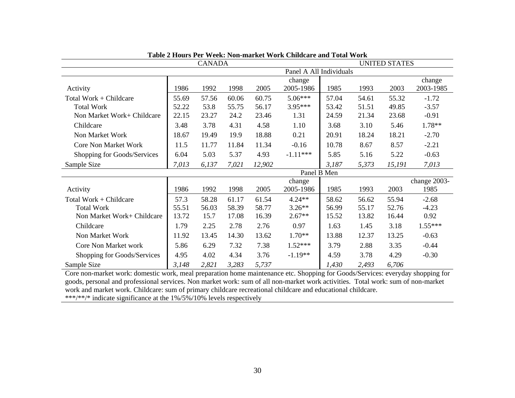|                             |       | <b>CANADA</b> |       |        |             | <b>UNITED STATES</b>    |       |        |              |
|-----------------------------|-------|---------------|-------|--------|-------------|-------------------------|-------|--------|--------------|
|                             |       |               |       |        |             | Panel A All Individuals |       |        |              |
|                             |       |               |       |        | change      |                         |       |        | change       |
| Activity                    | 1986  | 1992          | 1998  | 2005   | 2005-1986   | 1985                    | 1993  | 2003   | 2003-1985    |
| Total Work + Childcare      | 55.69 | 57.56         | 60.06 | 60.75  | $5.06***$   | 57.04                   | 54.61 | 55.32  | $-1.72$      |
| <b>Total Work</b>           | 52.22 | 53.8          | 55.75 | 56.17  | $3.95***$   | 53.42                   | 51.51 | 49.85  | $-3.57$      |
| Non Market Work+ Childcare  | 22.15 | 23.27         | 24.2  | 23.46  | 1.31        | 24.59                   | 21.34 | 23.68  | $-0.91$      |
| Childcare                   | 3.48  | 3.78          | 4.31  | 4.58   | 1.10        | 3.68                    | 3.10  | 5.46   | 1.78**       |
| Non Market Work             | 18.67 | 19.49         | 19.9  | 18.88  | 0.21        | 20.91                   | 18.24 | 18.21  | $-2.70$      |
| <b>Core Non Market Work</b> | 11.5  | 11.77         | 11.84 | 11.34  | $-0.16$     | 10.78                   | 8.67  | 8.57   | $-2.21$      |
| Shopping for Goods/Services | 6.04  | 5.03          | 5.37  | 4.93   | $-1.11***$  | 5.85                    | 5.16  | 5.22   | $-0.63$      |
| Sample Size                 | 7,013 | 6,137         | 7,021 | 12,902 |             | 3,187                   | 5,373 | 15,191 | 7,013        |
|                             |       |               |       |        | Panel B Men |                         |       |        |              |
|                             |       |               |       |        | change      |                         |       |        | change 2003- |
| Activity                    | 1986  | 1992          | 1998  | 2005   | 2005-1986   | 1985                    | 1993  | 2003   | 1985         |
| Total Work + Childcare      | 57.3  | 58.28         | 61.17 | 61.54  | $4.24**$    | 58.62                   | 56.62 | 55.94  | $-2.68$      |
| <b>Total Work</b>           | 55.51 | 56.03         | 58.39 | 58.77  | $3.26**$    | 56.99                   | 55.17 | 52.76  | $-4.23$      |
| Non Market Work+ Childcare  | 13.72 | 15.7          | 17.08 | 16.39  | $2.67**$    | 15.52                   | 13.82 | 16.44  | 0.92         |
| Childcare                   | 1.79  | 2.25          | 2.78  | 2.76   | 0.97        | 1.63                    | 1.45  | 3.18   | $1.55***$    |
| Non Market Work             | 11.92 | 13.45         | 14.30 | 13.62  | $1.70**$    | 13.88                   | 12.37 | 13.25  | $-0.63$      |
| Core Non Market work        | 5.86  | 6.29          | 7.32  | 7.38   | $1.52***$   | 3.79                    | 2.88  | 3.35   | $-0.44$      |
| Shopping for Goods/Services | 4.95  | 4.02          | 4.34  | 3.76   | $-1.19**$   | 4.59                    | 3.78  | 4.29   | $-0.30$      |
| Sample Size                 | 3,148 | 2,821         | 3,283 | 5,737  |             | 1,430                   | 2,493 | 6,706  |              |

**Table 2 Hours Per Week: Non-market Work Childcare and Total Work**

Core non-market work: domestic work, meal preparation home maintenance etc. Shopping for Goods/Services: everyday shopping for goods, personal and professional services. Non market work: sum of all non-market work activities. Total work: sum of non-market work and market work. Childcare: sum of primary childcare recreational childcare and educational childcare. \*\*\*/\*\*/\* indicate significance at the 1%/5%/10% levels respectively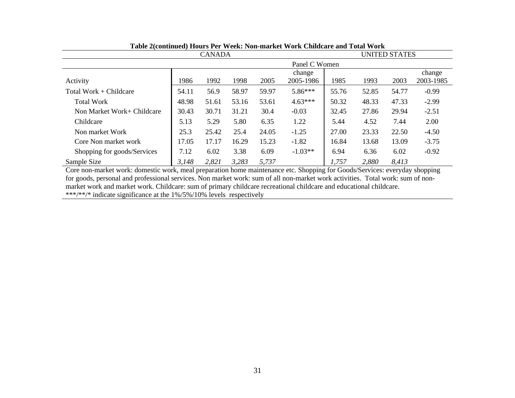| <b>CANADA</b>               |       |               |       |       |           | <b>UNITED STATES</b> |       |       |           |
|-----------------------------|-------|---------------|-------|-------|-----------|----------------------|-------|-------|-----------|
|                             |       | Panel C Women |       |       |           |                      |       |       |           |
|                             |       |               |       |       | change    |                      |       |       | change    |
| Activity                    | 1986  | 1992          | 1998  | 2005  | 2005-1986 | 1985                 | 1993  | 2003  | 2003-1985 |
| Total Work + Childcare      | 54.11 | 56.9          | 58.97 | 59.97 | 5.86***   | 55.76                | 52.85 | 54.77 | $-0.99$   |
| Total Work                  | 48.98 | 51.61         | 53.16 | 53.61 | $4.63***$ | 50.32                | 48.33 | 47.33 | $-2.99$   |
| Non Market Work+ Childcare  | 30.43 | 30.71         | 31.21 | 30.4  | $-0.03$   | 32.45                | 27.86 | 29.94 | $-2.51$   |
| Childcare                   | 5.13  | 5.29          | 5.80  | 6.35  | 1.22      | 5.44                 | 4.52  | 7.44  | 2.00      |
| Non market Work             | 25.3  | 25.42         | 25.4  | 24.05 | $-1.25$   | 27.00                | 23.33 | 22.50 | $-4.50$   |
| Core Non market work        | 17.05 | 17.17         | 16.29 | 15.23 | $-1.82$   | 16.84                | 13.68 | 13.09 | $-3.75$   |
| Shopping for goods/Services | 7.12  | 6.02          | 3.38  | 6.09  | $-1.03**$ | 6.94                 | 6.36  | 6.02  | $-0.92$   |
| Sample Size                 | 3,148 | 2,821         | 3,283 | 5,737 |           | 1,757                | 2,880 | 8,413 |           |

## **Table 2(continued) Hours Per Week: Non-market Work Childcare and Total Work**

Core non-market work: domestic work, meal preparation home maintenance etc. Shopping for Goods/Services: everyday shopping for goods, personal and professional services. Non market work: sum of all non-market work activities. Total work: sum of nonmarket work and market work. Childcare: sum of primary childcare recreational childcare and educational childcare. \*\*\*/\*\*/\* indicate significance at the 1%/5%/10% levels respectively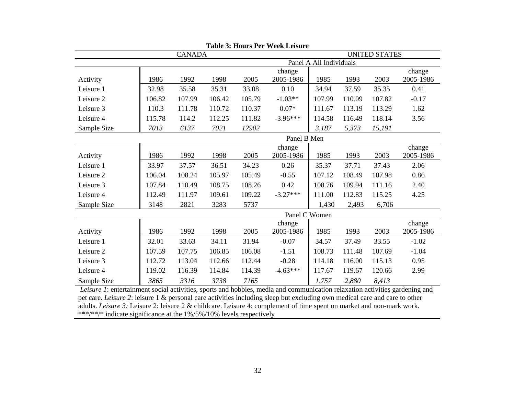|             | <b>CANADA</b> |        |        |        |             |                         | <b>UNITED STATES</b> |        |           |  |
|-------------|---------------|--------|--------|--------|-------------|-------------------------|----------------------|--------|-----------|--|
|             |               |        |        |        |             | Panel A All Individuals |                      |        |           |  |
|             |               |        |        |        | change      |                         |                      |        | change    |  |
| Activity    | 1986          | 1992   | 1998   | 2005   | 2005-1986   | 1985                    | 1993                 | 2003   | 2005-1986 |  |
| Leisure 1   | 32.98         | 35.58  | 35.31  | 33.08  | 0.10        | 34.94                   | 37.59                | 35.35  | 0.41      |  |
| Leisure 2   | 106.82        | 107.99 | 106.42 | 105.79 | $-1.03**$   | 107.99                  | 110.09               | 107.82 | $-0.17$   |  |
| Leisure 3   | 110.3         | 111.78 | 110.72 | 110.37 | $0.07*$     | 111.67                  | 113.19               | 113.29 | 1.62      |  |
| Leisure 4   | 115.78        | 114.2  | 112.25 | 111.82 | $-3.96***$  | 114.58                  | 116.49               | 118.14 | 3.56      |  |
| Sample Size | 7013          | 6137   | 7021   | 12902  |             | 3,187                   | 5,373                | 15,191 |           |  |
|             |               |        |        |        | Panel B Men |                         |                      |        |           |  |
|             |               |        |        |        | change      |                         |                      |        | change    |  |
| Activity    | 1986          | 1992   | 1998   | 2005   | 2005-1986   | 1985                    | 1993                 | 2003   | 2005-1986 |  |
| Leisure 1   | 33.97         | 37.57  | 36.51  | 34.23  | 0.26        | 35.37                   | 37.71                | 37.43  | 2.06      |  |
| Leisure 2   | 106.04        | 108.24 | 105.97 | 105.49 | $-0.55$     | 107.12                  | 108.49               | 107.98 | 0.86      |  |
| Leisure 3   | 107.84        | 110.49 | 108.75 | 108.26 | 0.42        | 108.76                  | 109.94               | 111.16 | 2.40      |  |
| Leisure 4   | 112.49        | 111.97 | 109.61 | 109.22 | $-3.27***$  | 111.00                  | 112.83               | 115.25 | 4.25      |  |
| Sample Size | 3148          | 2821   | 3283   | 5737   |             | 1,430                   | 2,493                | 6,706  |           |  |
|             |               |        |        |        |             | Panel C Women           |                      |        |           |  |
|             |               |        |        |        | change      |                         |                      |        | change    |  |
| Activity    | 1986          | 1992   | 1998   | 2005   | 2005-1986   | 1985                    | 1993                 | 2003   | 2005-1986 |  |
| Leisure 1   | 32.01         | 33.63  | 34.11  | 31.94  | $-0.07$     | 34.57                   | 37.49                | 33.55  | $-1.02$   |  |
| Leisure 2   | 107.59        | 107.75 | 106.85 | 106.08 | $-1.51$     | 108.73                  | 111.48               | 107.69 | $-1.04$   |  |
| Leisure 3   | 112.72        | 113.04 | 112.66 | 112.44 | $-0.28$     | 114.18                  | 116.00               | 115.13 | 0.95      |  |
| Leisure 4   | 119.02        | 116.39 | 114.84 | 114.39 | $-4.63***$  | 117.67                  | 119.67               | 120.66 | 2.99      |  |
| Sample Size | 3865          | 3316   | 3738   | 7165   |             | 1,757                   | 2,880                | 8,413  |           |  |

**Table 3: Hours Per Week Leisure** 

 *Leisure 1*: entertainment social activities, sports and hobbies, media and communication relaxation activities gardening and pet care. *Leisure 2*: leisure 1 & personal care activities including sleep but excluding own medical care and care to other adults. *Leisure 3:* Leisure 2: leisure 2 & childcare. Leisure 4: complement of time spent on market and non-mark work. \*\*\*/\*\*/\* indicate significance at the 1%/5%/10% levels respectively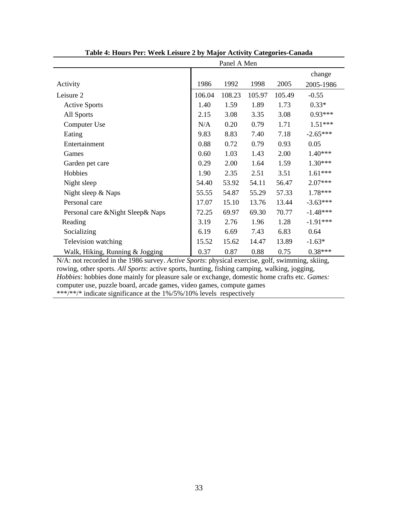|                                    | Panel A Men |        |        |        |            |  |  |  |
|------------------------------------|-------------|--------|--------|--------|------------|--|--|--|
|                                    |             |        |        |        | change     |  |  |  |
| Activity                           | 1986        | 1992   | 1998   | 2005   | 2005-1986  |  |  |  |
| Leisure 2                          | 106.04      | 108.23 | 105.97 | 105.49 | $-0.55$    |  |  |  |
| <b>Active Sports</b>               | 1.40        | 1.59   | 1.89   | 1.73   | $0.33*$    |  |  |  |
| All Sports                         | 2.15        | 3.08   | 3.35   | 3.08   | $0.93***$  |  |  |  |
| Computer Use                       | N/A         | 0.20   | 0.79   | 1.71   | $1.51***$  |  |  |  |
| Eating                             | 9.83        | 8.83   | 7.40   | 7.18   | $-2.65***$ |  |  |  |
| Entertainment                      | 0.88        | 0.72   | 0.79   | 0.93   | 0.05       |  |  |  |
| Games                              | 0.60        | 1.03   | 1.43   | 2.00   | 1.40***    |  |  |  |
| Garden pet care                    | 0.29        | 2.00   | 1.64   | 1.59   | $1.30***$  |  |  |  |
| Hobbies                            | 1.90        | 2.35   | 2.51   | 3.51   | $1.61***$  |  |  |  |
| Night sleep                        | 54.40       | 53.92  | 54.11  | 56.47  | $2.07***$  |  |  |  |
| Night sleep & Naps                 | 55.55       | 54.87  | 55.29  | 57.33  | $1.78***$  |  |  |  |
| Personal care                      | 17.07       | 15.10  | 13.76  | 13.44  | $-3.63***$ |  |  |  |
| Personal care & Night Sleep & Naps | 72.25       | 69.97  | 69.30  | 70.77  | $-1.48***$ |  |  |  |
| Reading                            | 3.19        | 2.76   | 1.96   | 1.28   | $-1.91***$ |  |  |  |
| Socializing                        | 6.19        | 6.69   | 7.43   | 6.83   | 0.64       |  |  |  |
| Television watching                | 15.52       | 15.62  | 14.47  | 13.89  | $-1.63*$   |  |  |  |
| Walk, Hiking, Running & Jogging    | 0.37        | 0.87   | 0.88   | 0.75   | $0.38***$  |  |  |  |

**Table 4: Hours Per: Week Leisure 2 by Major Activity Categories-Canada** 

N/A: not recorded in the 1986 survey. *Active Sports*: physical exercise, golf, swimming, skiing, rowing, other sports. *All Sports*: active sports, hunting, fishing camping, walking, jogging, *Hobbies*: hobbies done mainly for pleasure sale or exchange, domestic home crafts etc. *Games:* computer use, puzzle board, arcade games, video games, compute games \*\*\*/\*\*/\* indicate significance at the 1%/5%/10% levels respectively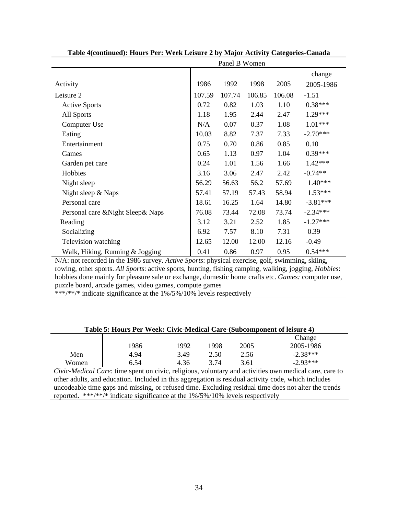|                                    |        | Panel B Women |        |        |            |
|------------------------------------|--------|---------------|--------|--------|------------|
|                                    |        |               |        |        | change     |
| Activity                           | 1986   | 1992          | 1998   | 2005   | 2005-1986  |
| Leisure 2                          | 107.59 | 107.74        | 106.85 | 106.08 | $-1.51$    |
| <b>Active Sports</b>               | 0.72   | 0.82          | 1.03   | 1.10   | $0.38***$  |
| All Sports                         | 1.18   | 1.95          | 2.44   | 2.47   | 1.29***    |
| Computer Use                       | N/A    | 0.07          | 0.37   | 1.08   | $1.01***$  |
| Eating                             | 10.03  | 8.82          | 7.37   | 7.33   | $-2.70***$ |
| Entertainment                      | 0.75   | 0.70          | 0.86   | 0.85   | 0.10       |
| Games                              | 0.65   | 1.13          | 0.97   | 1.04   | $0.39***$  |
| Garden pet care                    | 0.24   | 1.01          | 1.56   | 1.66   | $1.42***$  |
| Hobbies                            | 3.16   | 3.06          | 2.47   | 2.42   | $-0.74**$  |
| Night sleep                        | 56.29  | 56.63         | 56.2   | 57.69  | $1.40***$  |
| Night sleep $&$ Naps               | 57.41  | 57.19         | 57.43  | 58.94  | $1.53***$  |
| Personal care                      | 18.61  | 16.25         | 1.64   | 14.80  | $-3.81***$ |
| Personal care & Night Sleep & Naps | 76.08  | 73.44         | 72.08  | 73.74  | $-2.34***$ |
| Reading                            | 3.12   | 3.21          | 2.52   | 1.85   | $-1.27***$ |
| Socializing                        | 6.92   | 7.57          | 8.10   | 7.31   | 0.39       |
| Television watching                | 12.65  | 12.00         | 12.00  | 12.16  | $-0.49$    |
| Walk, Hiking, Running & Jogging    | 0.41   | 0.86          | 0.97   | 0.95   | $0.54***$  |

**Table 4(continued): Hours Per: Week Leisure 2 by Major Activity Categories-Canada** 

N/A: not recorded in the 1986 survey. *Active Sports*: physical exercise, golf, swimming, skiing, rowing, other sports. *All Sports*: active sports, hunting, fishing camping, walking, jogging, *Hobbies*: hobbies done mainly for pleasure sale or exchange, domestic home crafts etc. *Games:* computer use, puzzle board, arcade games, video games, compute games

\*\*\*/\*\*/\* indicate significance at the  $1\frac{\cancel{6}}{\cancel{5}\frac{\cancel{6}}{\cancel{10}}}\$  levels respectively

| Table 5: Hours Per Week: Civic-Medical Care-(Subcomponent of leisure 4) |      |      |      |      |            |  |
|-------------------------------------------------------------------------|------|------|------|------|------------|--|
|                                                                         |      |      |      |      | Change     |  |
|                                                                         | !986 | 1992 | 998  | 2005 | 2005-1986  |  |
| Men                                                                     | 4.94 | 3.49 | 2.50 | 2.56 | $-2.38***$ |  |
| Women                                                                   | 6.54 | 4.36 | 3 74 | 3.61 | $-2.93***$ |  |

## **Table 5: Hours Per Week: Civic-Medical Care-(Subcomponent of leisure 4)**

*Civic-Medical Care*: time spent on civic, religious, voluntary and activities own medical care, care to other adults, and education. Included in this aggregation is residual activity code, which includes uncodeable time gaps and missing, or refused time. Excluding residual time does not alter the trends reported. \*\*\*/\*\*/\* indicate significance at the 1%/5%/10% levels respectively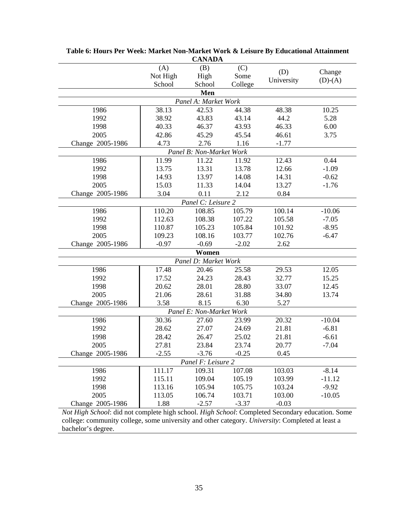|                  |          | CANADA                   |         |            |           |
|------------------|----------|--------------------------|---------|------------|-----------|
|                  | (A)      | (B)                      | (C)     |            | Change    |
|                  | Not High | High                     | Some    | (D)        |           |
|                  | School   | School                   | College | University | $(D)-(A)$ |
|                  |          | Men                      |         |            |           |
|                  |          | Panel A: Market Work     |         |            |           |
| 1986             | 38.13    | 42.53                    | 44.38   | 48.38      | 10.25     |
| 1992             | 38.92    | 43.83                    | 43.14   | 44.2       | 5.28      |
| 1998             | 40.33    | 46.37                    | 43.93   | 46.33      | 6.00      |
| 2005             | 42.86    | 45.29                    | 45.54   | 46.61      | 3.75      |
| Change 2005-1986 | 4.73     | 2.76                     | 1.16    | $-1.77$    |           |
|                  |          | Panel B: Non-Market Work |         |            |           |
| 1986             | 11.99    | 11.22                    | 11.92   | 12.43      | 0.44      |
| 1992             | 13.75    | 13.31                    | 13.78   | 12.66      | $-1.09$   |
| 1998             | 14.93    | 13.97                    | 14.08   | 14.31      | $-0.62$   |
| 2005             | 15.03    | 11.33                    | 14.04   | 13.27      | $-1.76$   |
| Change 2005-1986 | 3.04     | 0.11                     | 2.12    | 0.84       |           |
|                  |          | Panel C: Leisure 2       |         |            |           |
| 1986             | 110.20   | 108.85                   | 105.79  | 100.14     | $-10.06$  |
| 1992             | 112.63   | 108.38                   | 107.22  | 105.58     | $-7.05$   |
| 1998             | 110.87   | 105.23                   | 105.84  | 101.92     | $-8.95$   |
| 2005             | 109.23   | 108.16                   | 103.77  | 102.76     | $-6.47$   |
| Change 2005-1986 | $-0.97$  | $-0.69$                  | $-2.02$ | 2.62       |           |
|                  |          | Women                    |         |            |           |
|                  |          | Panel D: Market Work     |         |            |           |
| 1986             | 17.48    | 20.46                    | 25.58   | 29.53      | 12.05     |
| 1992             | 17.52    | 24.23                    | 28.43   | 32.77      | 15.25     |
| 1998             | 20.62    | 28.01                    | 28.80   | 33.07      | 12.45     |
| 2005             | 21.06    | 28.61                    | 31.88   | 34.80      | 13.74     |
| Change 2005-1986 | 3.58     | 8.15                     | 6.30    | 5.27       |           |
|                  |          | Panel E: Non-Market Work |         |            |           |
| 1986             | 30.36    | 27.60                    | 23.99   | 20.32      | $-10.04$  |
| 1992             | 28.62    | 27.07                    | 24.69   | 21.81      | $-6.81$   |
| 1998             | 28.42    | 26.47                    | 25.02   | 21.81      | $-6.61$   |
| 2005             | 27.81    | 23.84                    | 23.74   | 20.77      | $-7.04$   |
| Change 2005-1986 | $-2.55$  | $-3.76$                  | $-0.25$ | 0.45       |           |
|                  |          | Panel F: Leisure 2       |         |            |           |
| 1986             | 111.17   | 109.31                   | 107.08  | 103.03     | $-8.14$   |
| 1992             | 115.11   | 109.04                   | 105.19  | 103.99     | $-11.12$  |
| 1998             | 113.16   | 105.94                   | 105.75  | 103.24     | $-9.92$   |
| 2005             | 113.05   | 106.74                   | 103.71  | 103.00     | $-10.05$  |
| Change 2005-1986 | 1.88     | $-2.57$                  | $-3.37$ | $-0.03$    |           |

**Table 6: Hours Per Week: Market Non-Market Work & Leisure By Educational Attainment CANADA**

*Not High School*: did not complete high school. *High School*: Completed Secondary education. Some college: community college, some university and other category. *University*: Completed at least a bachelor's degree.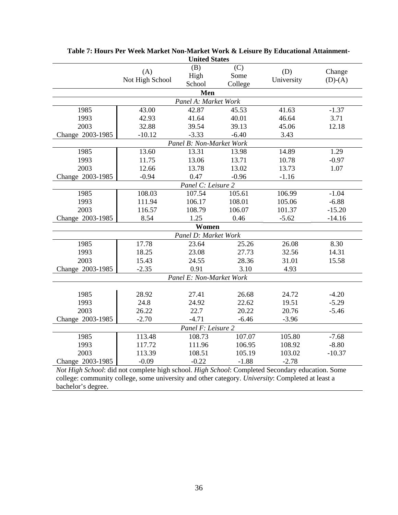|                    |                        | UMICU DIAICS             |             |                   |                     |  |  |
|--------------------|------------------------|--------------------------|-------------|-------------------|---------------------|--|--|
|                    | (A)<br>Not High School | (B)<br>High              | (C)<br>Some | (D)<br>University | Change<br>$(D)-(A)$ |  |  |
|                    |                        | School                   | College     |                   |                     |  |  |
|                    |                        | Men                      |             |                   |                     |  |  |
|                    |                        | Panel A: Market Work     |             |                   |                     |  |  |
| 1985               | 43.00                  | 42.87                    | 45.53       | 41.63             | $-1.37$             |  |  |
| 1993               | 42.93                  | 41.64                    | 40.01       | 46.64             | 3.71                |  |  |
| 2003               | 32.88                  | 39.54                    | 39.13       | 45.06             | 12.18               |  |  |
| Change 2003-1985   | $-10.12$               | $-3.33$                  | $-6.40$     | 3.43              |                     |  |  |
|                    |                        | Panel B: Non-Market Work |             |                   |                     |  |  |
| 1985               | 13.60                  | 13.31                    | 13.98       | 14.89             | 1.29                |  |  |
| 1993               | 11.75                  | 13.06                    | 13.71       | 10.78             | $-0.97$             |  |  |
| 2003               | 12.66                  | 13.78                    | 13.02       | 13.73             | 1.07                |  |  |
| Change 2003-1985   | $-0.94$                | 0.47                     | $-0.96$     | $-1.16$           |                     |  |  |
| Panel C: Leisure 2 |                        |                          |             |                   |                     |  |  |
| 1985               | 108.03                 | 107.54                   | 105.61      | 106.99            | $-1.04$             |  |  |
| 1993               | 111.94                 | 106.17                   | 108.01      | 105.06            | $-6.88$             |  |  |
| 2003               | 116.57                 | 108.79                   | 106.07      | 101.37            | $-15.20$            |  |  |
| Change 2003-1985   | 8.54                   | 1.25                     | 0.46        | $-5.62$           | $-14.16$            |  |  |
| Women              |                        |                          |             |                   |                     |  |  |
|                    |                        | Panel D: Market Work     |             |                   |                     |  |  |
| 1985               | 17.78                  | 23.64                    | 25.26       | 26.08             | 8.30                |  |  |
| 1993               | 18.25                  | 23.08                    | 27.73       | 32.56             | 14.31               |  |  |
| 2003               | 15.43                  | 24.55                    | 28.36       | 31.01             | 15.58               |  |  |
| Change 2003-1985   | $-2.35$                | 0.91                     | 3.10        | 4.93              |                     |  |  |
|                    |                        | Panel E: Non-Market Work |             |                   |                     |  |  |
|                    |                        |                          |             |                   |                     |  |  |
| 1985               | 28.92                  | 27.41                    | 26.68       | 24.72             | $-4.20$             |  |  |
| 1993               | 24.8                   | 24.92                    | 22.62       | 19.51             | $-5.29$             |  |  |
| 2003               | 26.22                  | 22.7                     | 20.22       | 20.76             | $-5.46$             |  |  |
| Change 2003-1985   | $-2.70$                | $-4.71$                  | $-6.46$     | $-3.96$           |                     |  |  |
|                    |                        | Panel F: Leisure 2       |             |                   |                     |  |  |
| 1985               | 113.48                 | 108.73                   | 107.07      | 105.80            | $-7.68$             |  |  |
| 1993               | 117.72                 | 111.96                   | 106.95      | 108.92            | $-8.80$             |  |  |
| 2003               | 113.39                 | 108.51                   | 105.19      | 103.02            | $-10.37$            |  |  |
| Change 2003-1985   | $-0.09$                | $-0.22$                  | $-1.88$     | $-2.78$           |                     |  |  |
|                    |                        |                          |             |                   |                     |  |  |

**Table 7: Hours Per Week Market Non-Market Work & Leisure By Educational Attainment-United States**

*Not High School*: did not complete high school. *High School*: Completed Secondary education. Some college: community college, some university and other category. *University*: Completed at least a bachelor's degree.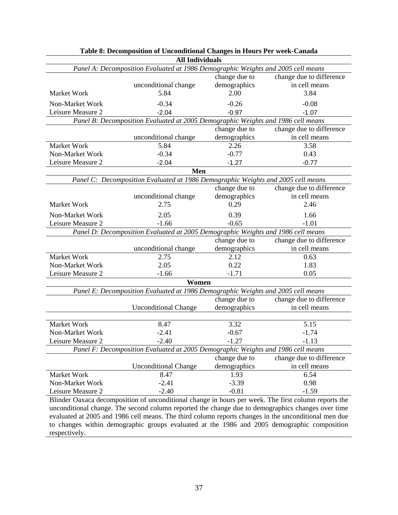|                                                                                  | <b>All Individuals</b>                                                           |               |                                                                                                      |  |  |  |  |
|----------------------------------------------------------------------------------|----------------------------------------------------------------------------------|---------------|------------------------------------------------------------------------------------------------------|--|--|--|--|
|                                                                                  | Panel A: Decomposition Evaluated at 1986 Demographic Weights and 2005 cell means |               |                                                                                                      |  |  |  |  |
|                                                                                  |                                                                                  | change due to | change due to difference                                                                             |  |  |  |  |
|                                                                                  | unconditional change                                                             | demographics  | in cell means                                                                                        |  |  |  |  |
| Market Work                                                                      | 5.84                                                                             | 2.00          | 3.84                                                                                                 |  |  |  |  |
| Non-Market Work                                                                  | $-0.34$                                                                          | $-0.26$       | $-0.08$                                                                                              |  |  |  |  |
| Leisure Measure 2                                                                | $-2.04$                                                                          | $-0.97$       | $-1.07$                                                                                              |  |  |  |  |
| Panel B: Decomposition Evaluated at 2005 Demographic Weights and 1986 cell means |                                                                                  |               |                                                                                                      |  |  |  |  |
|                                                                                  |                                                                                  | change due to | change due to difference                                                                             |  |  |  |  |
|                                                                                  | unconditional change                                                             | demographics  | in cell means                                                                                        |  |  |  |  |
| Market Work                                                                      | 5.84                                                                             | 2.26          | 3.58                                                                                                 |  |  |  |  |
| Non-Market Work                                                                  | $-0.34$                                                                          | $-0.77$       | 0.43                                                                                                 |  |  |  |  |
| Leisure Measure 2                                                                | $-2.04$                                                                          | $-1.27$       | $-0.77$                                                                                              |  |  |  |  |
|                                                                                  | Men                                                                              |               |                                                                                                      |  |  |  |  |
|                                                                                  | Panel C: Decomposition Evaluated at 1986 Demographic Weights and 2005 cell means |               |                                                                                                      |  |  |  |  |
|                                                                                  |                                                                                  | change due to | change due to difference                                                                             |  |  |  |  |
|                                                                                  | unconditional change                                                             | demographics  | in cell means                                                                                        |  |  |  |  |
| Market Work                                                                      | 2.75                                                                             | 0.29          | 2.46                                                                                                 |  |  |  |  |
| Non-Market Work                                                                  | 2.05                                                                             | 0.39          | 1.66                                                                                                 |  |  |  |  |
| Leisure Measure 2                                                                | $-1.66$                                                                          | $-0.65$       | $-1.01$                                                                                              |  |  |  |  |
| Panel D: Decomposition Evaluated at 2005 Demographic Weights and 1986 cell means |                                                                                  |               |                                                                                                      |  |  |  |  |
| change due to<br>change due to difference                                        |                                                                                  |               |                                                                                                      |  |  |  |  |
|                                                                                  | unconditional change                                                             | demographics  | in cell means                                                                                        |  |  |  |  |
| Market Work                                                                      | 2.75                                                                             | 2.12          | 0.63                                                                                                 |  |  |  |  |
| Non-Market Work                                                                  | 2.05                                                                             | 0.22          | 1.83                                                                                                 |  |  |  |  |
| Leisure Measure 2                                                                | $-1.66$                                                                          | $-1.71$       | 0.05                                                                                                 |  |  |  |  |
|                                                                                  | Women                                                                            |               |                                                                                                      |  |  |  |  |
|                                                                                  | Panel E: Decomposition Evaluated at 1986 Demographic Weights and 2005 cell means |               |                                                                                                      |  |  |  |  |
|                                                                                  |                                                                                  | change due to | change due to difference                                                                             |  |  |  |  |
|                                                                                  | <b>Unconditional Change</b>                                                      | demographics  | in cell means                                                                                        |  |  |  |  |
|                                                                                  |                                                                                  |               |                                                                                                      |  |  |  |  |
| Market Work                                                                      | 8.47                                                                             | 3.32          | 5.15                                                                                                 |  |  |  |  |
| Non-Market Work                                                                  | $-2.41$                                                                          | $-0.67$       | $-1.74$                                                                                              |  |  |  |  |
| Leisure Measure 2                                                                | $-2.40$                                                                          | $-1.27$       | $-1.13$                                                                                              |  |  |  |  |
|                                                                                  | Panel F: Decomposition Evaluated at 2005 Demographic Weights and 1986 cell means |               |                                                                                                      |  |  |  |  |
|                                                                                  |                                                                                  | change due to | change due to difference                                                                             |  |  |  |  |
|                                                                                  | <b>Unconditional Change</b>                                                      | demographics  | in cell means                                                                                        |  |  |  |  |
| Market Work                                                                      | 8.47                                                                             | 1.93          | 6.54                                                                                                 |  |  |  |  |
| Non-Market Work                                                                  | $-2.41$                                                                          | $-3.39$       | 0.98                                                                                                 |  |  |  |  |
| Leisure Measure 2                                                                | $-2.40$                                                                          | $-0.81$       | $-1.59$                                                                                              |  |  |  |  |
|                                                                                  |                                                                                  |               | Blinder Oaxaca decomposition of unconditional change in hours per week. The first column reports the |  |  |  |  |
|                                                                                  |                                                                                  |               | unconditional change. The second column reported the change due to demographics changes over time    |  |  |  |  |
|                                                                                  |                                                                                  |               | evaluated at 2005 and 1986 cell means. The third column reports changes in the unconditional men due |  |  |  |  |

| Table 8: Decomposition of Unconditional Changes in Hours Per week-Canada |  |  |  |  |  |  |
|--------------------------------------------------------------------------|--|--|--|--|--|--|
| $\lambda$ 11 T., .12 . 2 1 .                                             |  |  |  |  |  |  |

to changes within demographic groups evaluated at the 1986 and 2005 demographic composition respectively.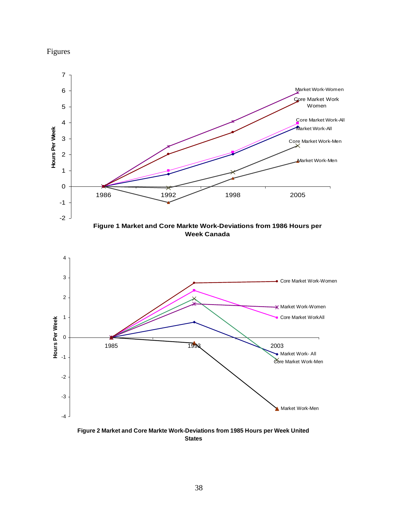



**Figure 2 Market and Core Markte Work-Deviations from 1985 Hours per Week United States**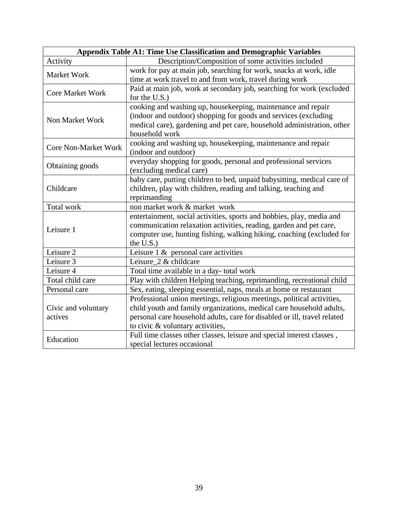|                             | Appendix Table A1: Time Use Classification and Demographic Variables     |
|-----------------------------|--------------------------------------------------------------------------|
| Activity                    | Description/Composition of some activities included                      |
| Market Work                 | work for pay at main job, searching for work, snacks at work, idle       |
|                             | time at work travel to and from work, travel during work                 |
| <b>Core Market Work</b>     | Paid at main job, work at secondary job, searching for work (excluded    |
|                             | for the U.S.)                                                            |
|                             | cooking and washing up, housekeeping, maintenance and repair             |
| Non Market Work             | (indoor and outdoor) shopping for goods and services (excluding          |
|                             | medical care), gardening and pet care, household administration, other   |
|                             | household work                                                           |
| <b>Core Non-Market Work</b> | cooking and washing up, housekeeping, maintenance and repair             |
|                             | (indoor and outdoor)                                                     |
| Obtaining goods             | everyday shopping for goods, personal and professional services          |
|                             | (excluding medical care)                                                 |
|                             | baby care, putting children to bed, unpaid babysitting, medical care of  |
| Childcare                   | children, play with children, reading and talking, teaching and          |
|                             | reprimanding                                                             |
| Total work                  | non market work & market work                                            |
|                             | entertainment, social activities, sports and hobbies, play, media and    |
| Leisure 1                   | communication relaxation activities, reading, garden and pet care,       |
|                             | computer use, hunting fishing, walking hiking, coaching (excluded for    |
|                             | the U.S.)                                                                |
| Leisure 2                   | Leisure $1 \&$ personal care activities                                  |
| Leisure 3                   | Leisure_2 & childcare                                                    |
| Leisure 4                   | Total time available in a day- total work                                |
| Total child care            | Play with children Helping teaching, reprimanding, recreational child    |
| Personal care               | Sex, eating, sleeping essential, naps, meals at home or restaurant       |
|                             | Professional union meetings, religious meetings, political activities,   |
| Civic and voluntary         | child youth and family organizations, medical care household adults,     |
| actives                     | personal care household adults, care for disabled or ill, travel related |
|                             | to civic & voluntary activities,                                         |
| Education                   | Full time classes other classes, leisure and special interest classes,   |
|                             | special lectures occasional                                              |